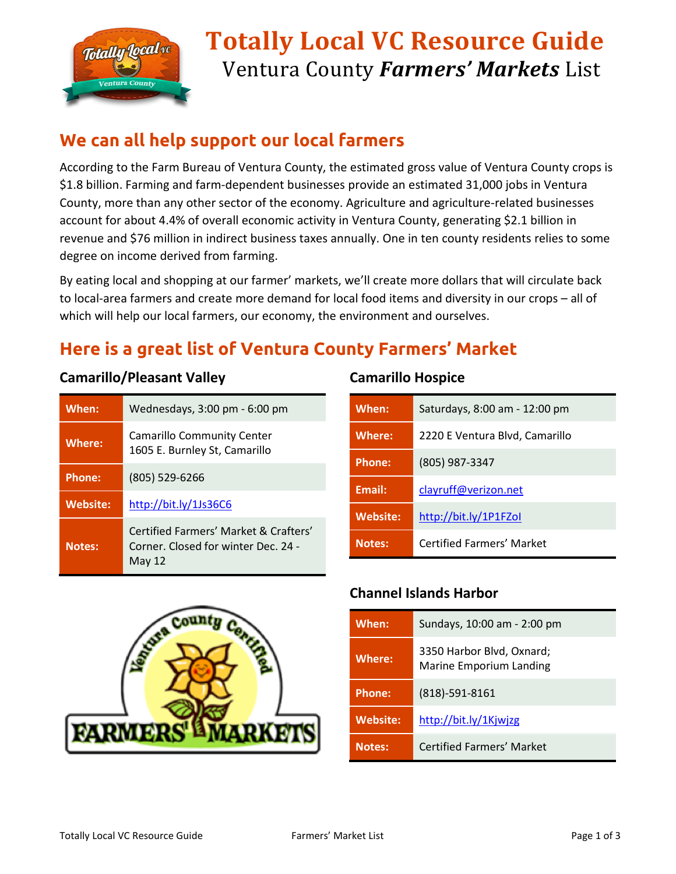

# **Totally Local VC Resource Guide** Ventura County *Farmers' Markets* List

## **We can all help support our local farmers**

According to the Farm Bureau of Ventura County, the estimated gross value of Ventura County crops is \$1.8 billion. Farming and farm-dependent businesses provide an estimated 31,000 jobs in Ventura County, more than any other sector of the economy. Agriculture and agriculture-related businesses account for about 4.4% of overall economic activity in Ventura County, generating \$2.1 billion in revenue and \$76 million in indirect business taxes annually. One in ten county residents relies to some degree on income derived from farming.

By eating local and shopping at our farmer' markets, we'll create more dollars that will circulate back to local-area farmers and create more demand for local food items and diversity in our crops – all of which will help our local farmers, our economy, the environment and ourselves.

## **Here is a great list of Ventura County Farmers' Market**

#### **Camarillo/Pleasant Valley**

| When:           | Wednesdays, 3:00 pm - 6:00 pm                                                            |
|-----------------|------------------------------------------------------------------------------------------|
| <b>Where:</b>   | <b>Camarillo Community Center</b><br>1605 E. Burnley St, Camarillo                       |
| <b>Phone:</b>   | $(805)$ 529-6266                                                                         |
| <b>Website:</b> | http://bit.ly/1Js36C6                                                                    |
| <b>Notes:</b>   | Certified Farmers' Market & Crafters'<br>Corner, Closed for winter Dec. 24 -<br>May $12$ |



| When:           | Saturdays, 8:00 am - 12:00 pm  |
|-----------------|--------------------------------|
| <b>Where:</b>   | 2220 E Ventura Blvd, Camarillo |
| Phone:          | $(805)$ 987-3347               |
| Email:          | clayruff@verizon.net           |
| <b>Website:</b> | http://bit.ly/1P1FZol          |
| <b>Notes:</b>   | Certified Farmers' Market      |



#### **Channel Islands Harbor**

| When:           | Sundays, 10:00 am - 2:00 pm                          |
|-----------------|------------------------------------------------------|
| <b>Where:</b>   | 3350 Harbor Blvd, Oxnard;<br>Marine Emporium Landing |
| <b>Phone:</b>   | $(818)-591-8161$                                     |
| <b>Website:</b> | http://bit.ly/1Kjwjzg                                |
| <b>Notes:</b>   | <b>Certified Farmers' Market</b>                     |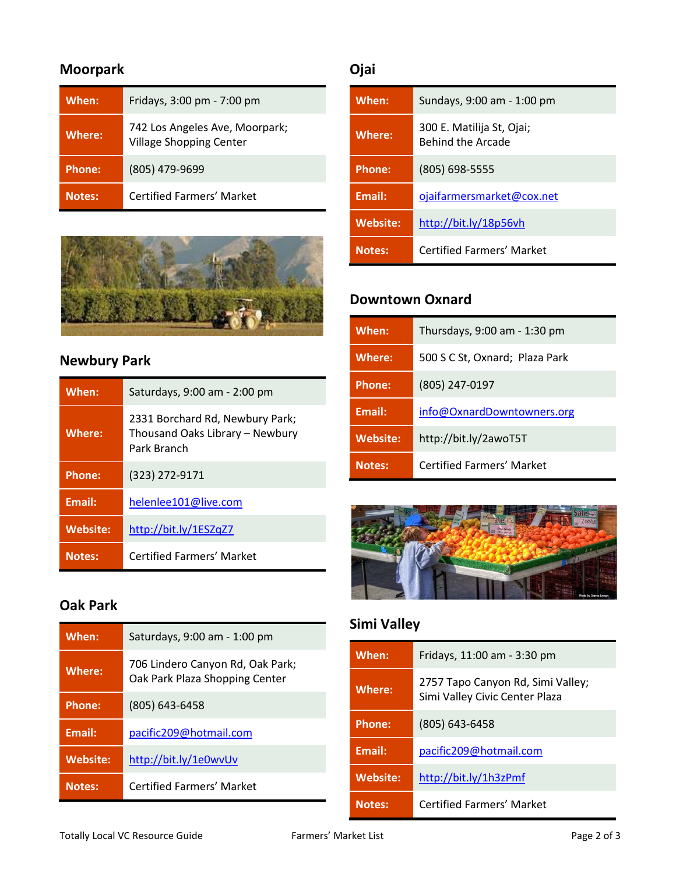## **Moorpark**

| When:         | Fridays, 3:00 pm - 7:00 pm                                       |
|---------------|------------------------------------------------------------------|
| <b>Where:</b> | 742 Los Angeles Ave, Moorpark;<br><b>Village Shopping Center</b> |
| <b>Phone:</b> | (805) 479-9699                                                   |
| <b>Notes:</b> | <b>Certified Farmers' Market</b>                                 |



## **Newbury Park**

| When:           | Saturdays, 9:00 am - 2:00 pm                                                      |
|-----------------|-----------------------------------------------------------------------------------|
| <b>Where:</b>   | 2331 Borchard Rd, Newbury Park;<br>Thousand Oaks Library - Newbury<br>Park Branch |
| <b>Phone:</b>   | (323) 272-9171                                                                    |
| <b>Email:</b>   | helenlee101@live.com                                                              |
| <b>Website:</b> | http://bit.ly/1ESZqZ7                                                             |
| <b>Notes:</b>   | Certified Farmers' Market                                                         |

### **Oak Park**

| When:         | Saturdays, 9:00 am - 1:00 pm                                       |
|---------------|--------------------------------------------------------------------|
| Where:        | 706 Lindero Canyon Rd, Oak Park;<br>Oak Park Plaza Shopping Center |
| Phone:        | (805) 643-6458                                                     |
| <b>Email:</b> | pacific209@hotmail.com                                             |
| Website:      | http://bit.ly/1e0wvUv                                              |
| <b>Notes:</b> | <b>Certified Farmers' Market</b>                                   |

## **Ojai**

| When:           | Sundays, 9:00 am - 1:00 pm                     |
|-----------------|------------------------------------------------|
| <b>Where:</b>   | 300 E. Matilija St, Ojai;<br>Behind the Arcade |
| <b>Phone:</b>   | (805) 698-5555                                 |
| Email:          | ojaifarmersmarket@cox.net                      |
| <b>Website:</b> | http://bit.ly/18p56vh                          |
| <b>Notes:</b>   | <b>Certified Farmers' Market</b>               |

#### **Downtown Oxnard**

| When:           | Thursdays, 9:00 am - 1:30 pm     |
|-----------------|----------------------------------|
| <b>Where:</b>   | 500 S C St, Oxnard; Plaza Park   |
| <b>Phone:</b>   | (805) 247-0197                   |
| Email:          | info@OxnardDowntowners.org       |
| <b>Website:</b> | http://bit.ly/2awoT5T            |
| <b>Notes:</b>   | <b>Certified Farmers' Market</b> |



## **Simi Valley**

| When:           | Fridays, 11:00 am - 3:30 pm                                         |
|-----------------|---------------------------------------------------------------------|
| <b>Where:</b>   | 2757 Tapo Canyon Rd, Simi Valley;<br>Simi Valley Civic Center Plaza |
| <b>Phone:</b>   | $(805) 643 - 6458$                                                  |
| Email:          | pacific209@hotmail.com                                              |
| <b>Website:</b> | http://bit.ly/1h3zPmf                                               |
| <b>Notes:</b>   | <b>Certified Farmers' Market</b>                                    |